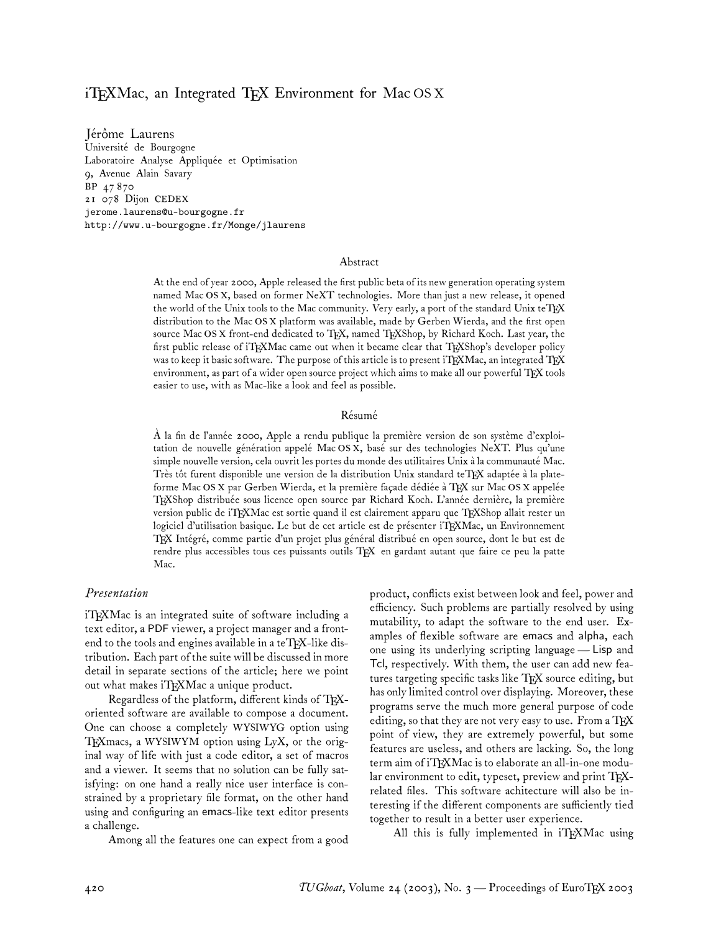# iTEXMac, an Integrated TEX Environment for Mac  $OS X$

Jérôme Laurens Université de Bourgogne Laboratoire Analyse Appliquée et Optimisation 9, Avenue Alain Savary BP 47 870 21 078 Dijon CEDEX jerome.laurens@u-bourgogne.fr http://www.u-bourgogne.fr/Monge/jlaurens

#### Abstract

At the end of year 2000, Apple released the first public beta of its new generation operating system named Mac OS X, based on former NeXT technologies. More than just a new release, it opened the world of the Unix tools to the Mac community. Very early, a port of the standard Unix teTEX distribution to the Mac OS X platform was available, made by Gerben Wierda, and the first open source Mac OS X front-end dedicated to TEX, named TEXShop, by Richard Koch. Last year, the first public release of iTEXMac came out when it became clear that TEXShop's developer policy was to keep it basic software. The purpose of this article is to present iTFXMac, an integrated TFX environment, as part of a wider open source project which aims to make all our powerful TFX tools easier to use, with as Mac-like a look and feel as possible.

#### Résumé

À la fin de l'année 2000, Apple a rendu publique la première version de son système d'exploitation de nouvelle génération appelé Mac OS X, basé sur des technologies NeXT. Plus qu'une simple nouvelle version, cela ouvrit les portes du monde des utilitaires Unix à la communauté Mac. Très tôt furent disponible une version de la distribution Unix standard teTpX adaptée à la plateforme Mac OS X par Gerben Wierda, et la première façade dédiée à TFX sur Mac OS X appelée TEXShop distribuée sous licence open source par Richard Koch. L'année dernière, la première version public de iTEXMac est sortie quand il est clairement apparu que TEXShop allait rester un logiciel d'utilisation basique. Le but de cet article est de présenter iTEXMac, un Environnement TEX Intégré, comme partie d'un projet plus général distribué en open source, dont le but est de rendre plus accessibles tous ces puissants outils TEX en gardant autant que faire ce peu la patte Mac.

#### *Presentation*

iTEXMac is an integrated suite of software including a text editor, a PDF viewer, a project manager and a frontend to the tools and engines available in a teT $\overline{F}X$ -like distribution. Each part of the suite will be discussed in more detail in separate sections of the article; here we point out what makes iTEXMac a unique product.

Regardless of the platform, different kinds of TEXoriented software are available to compose a document. One can choose a completely WYSIWYG option using TEX macs, a WYSIWYM option using  $LyX$ , or the original way of life with just a code editor, a set of macros and a viewer. It seems that no solution can be fully satisfying: on one hand a really nice user interface is constrained by a proprietary file format, on the other hand using and configuring an emacs-like text editor presents a challenge.

Among all the features one can expect from a good

product, conflicts exist between look and feel, power and efficiency. Such problems are partially resolved by using mutability, to adapt the software to the end user. Examples of flexible software are emacs and alpha, each one using its underlying scripting language—Lisp and Tcl, respectively. With them, the user can add new features targeting specific tasks like TEX source editing, but has only limited control over displaying. Moreover, these programs serve the much more general purpose of code editing, so that they are not very easy to use. From a  $T_{F}X$ point of view, they are extremely powerful, but some features are useless, and others are lacking. So, the long term aim of iTEXMac is to elaborate an all-in-one modular environment to edit, typeset, preview and print TEXrelated files. This software achitecture will also be interesting if the different components are sufficiently tied together to result in a better user experience.

All this is fully implemented in iTEXMac using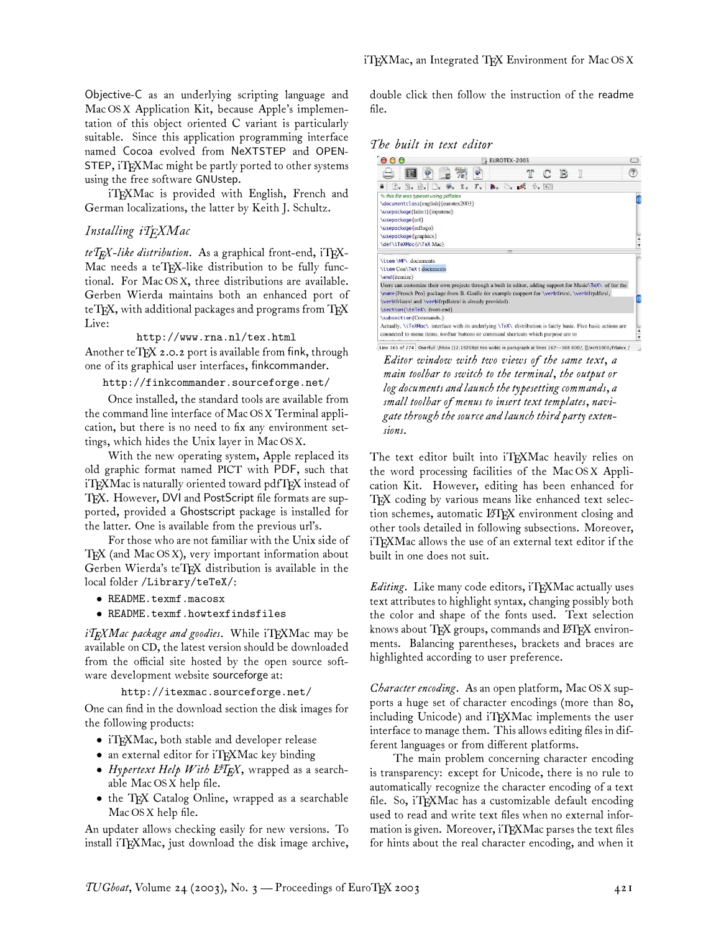Objective-C as an underlying scripting language and Mac OS X Application Kit, because Apple's implementation of this object oriented C variant is particularly suitable. Since this application programming interface named Cocoa evolved from NeXTSTEP and OPEN-STEP, iTEXMac might be partly ported to other systems using the free software GNUstep.

iTEXMac is provided with English, French and German localizations, the latter by Keith J. Schultz.

### *Installing iTEXMac*

teTEX-like distribution. As a graphical front-end, iTEX-Mac needs a teTFX-like distribution to be fully functional. For Mac OS X, three distributions are available. Gerben Wierda maintains both an enhanced port of teTEX, with additional packages and programs from TEX Live:

http://www.rna.nl/tex.html Another teTEX 2.0.2 port is available from fink, through one of its graphical user interfaces, finkcommander.

http://finkcommander.sourceforge.net/

Once installed, the standard tools are available from the command line interface of Mac OS X Terminal application, but there is no need to fix any environment settings, which hides the Unix layer in Mac OS X.

With the new operating system, Apple replaced its old graphic format named PICT with PDF, such that iTFXMac is naturally oriented toward pdfTFX instead of TEX. However, DVI and PostScript file formats are supported, provided a Ghostscript package is installed for the latter. One is available from the previous url's.

For those who are not familiar with the Unix side of  $T_{\rm F}X$  (and Mac OS X), very important information about Gerben Wierda's teTEX distribution is available in the local folder /Library/teTeX/:

- README.texmf.macosx
- README.texmf.howtexfindsfiles

*iTEXMac package and goodies*. While iTEXMac may be available on CD, the latest version should be downloaded from the official site hosted by the open source software development website sourceforge at:

http://itexmac.sourceforge.net/

One can find in the download section the disk images for the following products:

- iTFXMac, both stable and developer release
- an external editor for iTEXMac key binding
- *Hypertext Help With L<sup>4</sup>TEX*, wrapped as a searchable Mac OS X help file.
- the TEX Catalog Online, wrapped as a searchable Mac OS X help file.

An updater allows checking easily for new versions. To install iTEXMac, just download the disk image archive,

double click then follow the instruction of the readme file.

*The built in text editor*



*Editor window with two views of the same text, a main toolbar to switch to the terminal, the output or log documents and launch the typesetting commands, a small toolbar of menus to insert text templates, navigate through the source and launch third party extensions.*

The text editor built into iTEXMac heavily relies on the word processing facilities of the Mac OS X Application Kit. However, editing has been enhanced for TEX coding by various means like enhanced text selection schemes, automatic LATFX environment closing and other tools detailed in following subsections. Moreover, iTEXMac allows the use of an external text editor if the built in one does not suit.

*Editing*. Like many code editors, iT<sub>E</sub>XMac actually uses text attributes to highlight syntax, changing possibly both the color and shape of the fonts used. Text selection knows about TFX groups, commands and  $\operatorname{\mathbb{H}TRX}$  environments. Balancing parentheses, brackets and braces are highlighted according to user preference.

*Character encoding.* As an open platform, Mac OS X supports a huge set of character encodings (more than 80, including Unicode) and iTFXMac implements the user interface to manage them. This allows editing files in different languages or from different platforms.

The main problem concerning character encoding is transparency: except for Unicode, there is no rule to automatically recognize the character encoding of a text file. So, iTEXMac has a customizable default encoding used to read and write text files when no external information is given. Moreover, iTEXMac parses the text files for hints about the real character encoding, and when it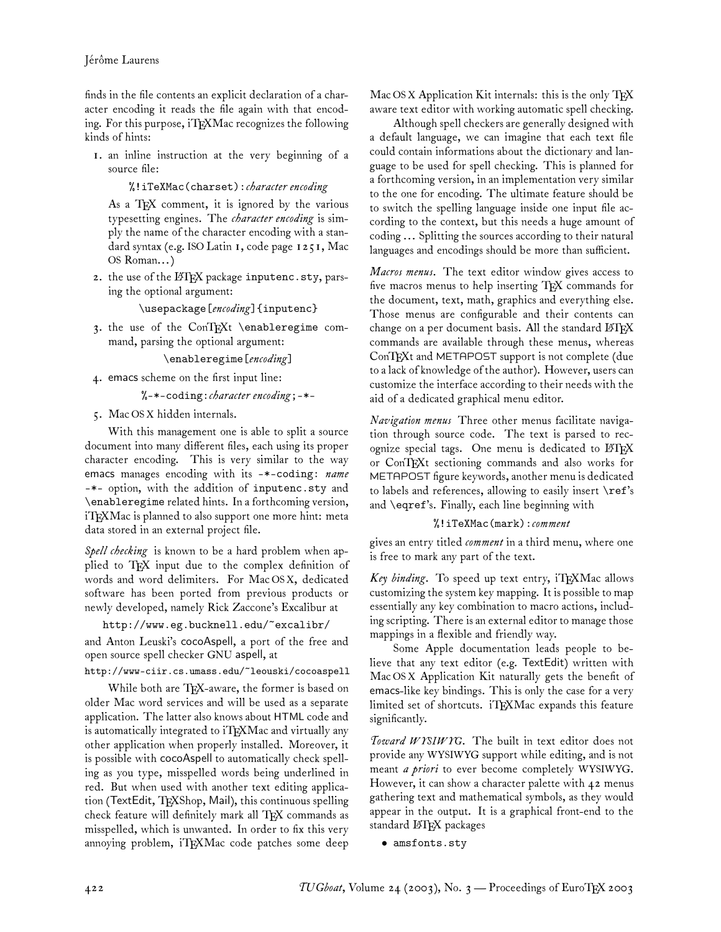finds in the file contents an explicit declaration of a character encoding it reads the file again with that encoding. For this purpose, iTFXMac recognizes the following kinds of hints:

1. an inline instruction at the very beginning of a source file:

%!iTeXMac(charset):*character encoding*

As a TFX comment, it is ignored by the various typesetting engines. The *character encoding* is simply the name of the character encoding with a standard syntax (e.g. ISO Latin 1, code page 1251, Mac OS Roman... )

2. the use of the LATEX package inputenc.sty, parsing the optional argument:

\usepackage[*encoding*]{inputenc}

3. the use of the ConTEXt \enableregime command, parsing the optional argument:

\enableregime[*encoding*]

4. emacs scheme on the first input line:

%-\*-coding:*character encoding*;-\*-

5. Mac OS X hidden internals.

With this management one is able to split a source document into many different files, each using its proper character encoding. This is very similar to the way emacs manages encoding with its -\*-coding: *name* -\*- option, with the addition of inputenc.sty and \enableregime related hints. In a forthcoming version, iTEXMac is planned to also support one more hint: meta data stored in an external project file.

*Spell checking* is known to be a hard problem when applied to TEX input due to the complex definition of words and word delimiters. For Mac OS X, dedicated software has been ported from previous products or newly developed, namely Rick Zaccone's Excalibur at

http://www.eg.bucknell.edu/~excalibr/

and Anton Leuski's cocoAspell, a port of the free and open source spell checker GNU aspell, at

http://www-ciir.cs.umass.edu/~leouski/cocoaspell

While both are TFX-aware, the former is based on older Mac word services and will be used as a separate application. The latter also knows about HTML code and is automatically integrated to iTEXMac and virtually any other application when properly installed. Moreover, it is possible with cocoAspell to automatically check spelling as you type, misspelled words being underlined in red. But when used with another text editing application (TextEdit, TEXShop, Mail), this continuous spelling check feature will definitely mark all TEX commands as misspelled, which is unwanted. In order to fix this very annoying problem, iTEXMac code patches some deep

Mac OS X Application Kit internals: this is the only  $T_{F}X$ aware text editor with working automatic spell checking.

Although spell checkers are generally designed with a default language, we can imagine that each text file could contain informations about the dictionary and language to be used for spell checking. This is planned for a forthcoming version, in an implementation very similar to the one for encoding. The ultimate feature should be to switch the spelling language inside one input file according to the context, but this needs a huge amount of coding ... Splitting the sources according to their natural languages and encodings should be more than sufficient.

*Macros menus.* The text editor window gives access to five macros menus to help inserting TFX commands for the document, text, math, graphics and everything else. Those menus are configurable and their contents can change on a per document basis. All the standard  $BTRX$ commands are available through these menus, whereas  $ConT<sub>F</sub>Xt$  and METAPOST support is not complete (due to a lack of knowledge of the author). However, users can customize the interface according to their needs with the aid of a dedicated graphical menu editor.

*Navigation menus* Three other menus facilitate navigation through source code. The text is parsed to recognize special tags. One menu is dedicated to LATEX or ConTEXt sectioning commands and also works for METAPOST figure keywords, another menu is dedicated to labels and references, allowing to easily insert \ref's and \eqref's. Finally, each line beginning with

### %!iTeXMac(mark):*comment*

gives an entry titled *comment* in a third menu, where one is free to mark any part of the text.

Key binding. To speed up text entry, iTFXMac allows customizing the system key mapping. It is possible to map essentially any key combination to macro actions, including scripting. There is an external editor to manage those mappings in a flexible and friendly way.

Some Apple documentation leads people to believe that any text editor (e.g. TextEdit) written with Mac OS X Application Kit naturally gets the benefit of emacs-like key bindings. This is only the case for a very limited set of shortcuts. iTEXMac expands this feature significantly.

*Toward WYSIWYG.* The built in text editor does not provide any WYSIWYG support while editing, and is not meant *a priori* to ever become completely WYSIWYG. However, it can show a character palette with 42 menus gathering text and mathematical symbols, as they would appear in the output. It is a graphical front-end to the standard LATEX packages

• amsfonts.sty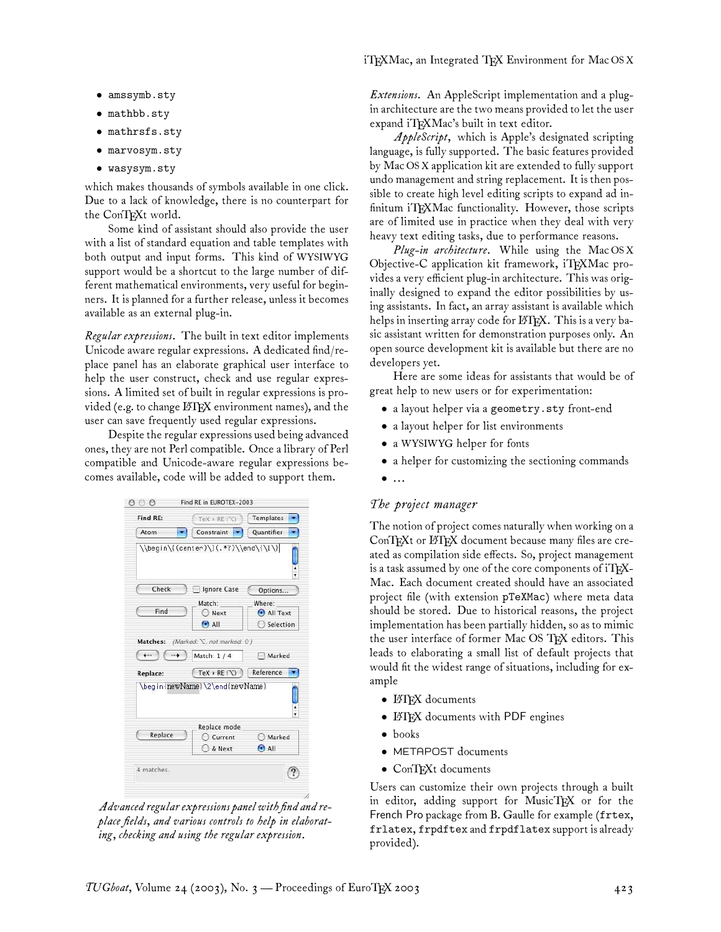- amssymb.sty
- mathbb.sty
- mathrsfs.sty
- marvosym.sty
- wasysym.sty

which makes thousands of symbols available in one click. Due to a lack of knowledge, there is no counterpart for the ConTEXt world.

Some kind of assistant should also provide the user with a list of standard equation and table templates with both output and input forms. This kind of WYSIWYG support would be a shortcut to the large number of different mathematical environments, very useful for beginners. It is planned for a further release, unless it becomes available as an external plug-in.

*Regular expressions.* The built in text editor implements Unicode aware regular expressions. A dedicated find/replace panel has an elaborate graphical user interface to help the user construct, check and use regular expressions. A limited set of built in regular expressions is provided (e.g. to change LATEX environment names), and the user can save frequently used regular expressions.

Despite the regular expressions used being advanced ones, they are not Perl compatible. Once a library of Perl compatible and Unicode-aware regular expressions becomes available, code will be added to support them.

| Find RE: | TeX » RE ('\C)                                 | Templates      |
|----------|------------------------------------------------|----------------|
| Atom     | Constraint                                     | Quantifier     |
|          |                                                |                |
| Check    | Ignore Case                                    | Options        |
|          | Match:                                         | Where:         |
| Find     | Next                                           | All Text       |
|          | $\odot$ All                                    | Selection      |
| Replace: | $Text \triangleright RE(\Upsilon)$             | Reference      |
|          | \begin{newName}\2\end{newName}<br>Replace mode |                |
|          | Current                                        | Marked         |
| Replace  |                                                |                |
|          | & Next                                         | $\bigodot$ All |

*Advanced regular expressions panel with find and replace fields, and various controls to help in elaborating, checking and using the regular expression.*

*Extensions.* An AppleScript implementation and a plugin architecture are the two means provided to let the user expand iTFXMac's built in text editor.

*AppleScript,* which is Apple's designated scripting language, is fully supported. The basic features provided by Mac OS X application kit are extended to fully support undo management and string replacement. It is then possible to create high level editing scripts to expand ad infinitum iTFXMac functionality. However, those scripts are of limited use in practice when they deal with very heavy text editing tasks, due to performance reasons.

*Plug-in architecture.* While using the Mac OS X Objective-C application kit framework, iTEXMac provides a very efficient plug-in architecture. This was originally designed to expand the editor possibilities by using assistants. In fact, an array assistant is available which helps in inserting array code for  $\operatorname{\mathbb{H}TEX}$ . This is a very basic assistant written for demonstration purposes only. An open source development kit is available but there are no developers yet.

Here are some ideas for assistants that would be of great help to new users or for experimentation:

- a layout helper via a geometry.sty front-end
- a layout helper for list environments
- a WYSIWYG helper for fonts
- a helper for customizing the sectioning commands
- $\bullet$  ...

## *The project manager*

The notion of project comes naturally when working on a ConTEXt or LATEX document because many files are created as compilation side effects. So, project management is a task assumed by one of the core components of  $i$ T<sub>F</sub>X-Mac. Each document created should have an associated project file (with extension pTeXMac) where meta data should be stored. Due to historical reasons, the project implementation has been partially hidden, so as to mimic the user interface of former Mac OS TFX editors. This leads to elaborating a small list of default projects that would fit the widest range of situations, including for example

- **LATEX** documents
- LATEX documents with PDF engines
- books
- METAPOST documents
- ConTEXt documents

Users can customize their own projects through a built in editor, adding support for MusicTEX or for the French Pro package from B. Gaulle for example (frtex, frlatex, frpdftex and frpdflatex support is already provided).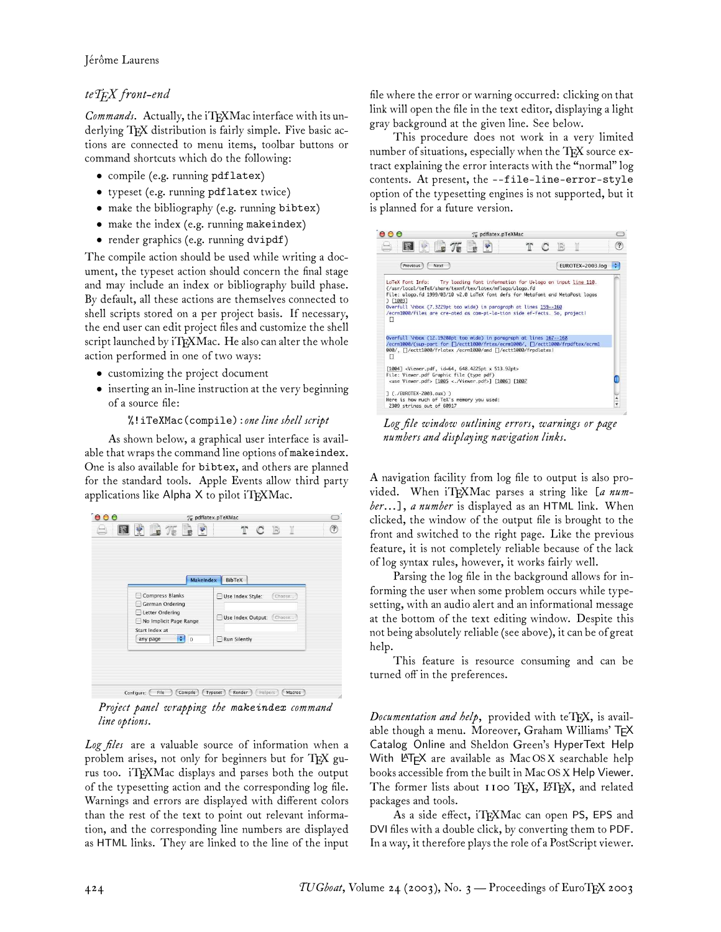# *teTEX front-end*

*Commands.* Actually, the iTEXMac interface with its underlying TFX distribution is fairly simple. Five basic actions are connected to menu items, toolbar buttons or command shortcuts which do the following:

- compile (e.g. running pdflatex)
- typeset (e.g. running pdflatex twice)
- make the bibliography (e.g. running bibtex)
- make the index (e.g. running makeindex)
- render graphics (e.g. running dvipdf)

The compile action should be used while writing a document, the typeset action should concern the final stage and may include an index or bibliography build phase. By default, all these actions are themselves connected to shell scripts stored on a per project basis. If necessary, the end user can edit project files and customize the shell script launched by iTEXMac. He also can alter the whole action performed in one of two ways:

- customizing the project document
- inserting an in-line instruction at the very beginning of a source file:

# %!iTeXMac(compile):*one line shell script*

As shown below, a graphical user interface is available that wraps the command line options of makeindex. One is also available for bibtex, and others are planned for the standard tools. Apple Events allow third party applications like Alpha  $X$  to pilot iTEXMac.

| MakeIndex<br>BibTeX<br>Compress Blanks<br>Use Index Style:<br>Choose<br>German Ordering |
|-----------------------------------------------------------------------------------------|
|                                                                                         |
|                                                                                         |
| Letter Ordering<br>Use Index Output: Choose<br>No Implicit Page Range                   |
| Start Index at<br>$\bullet$ 0<br>Run Silently<br>any page                               |

*Project panel wrapping the* makeindex *command line options.*

*Log files* are a valuable source of information when a problem arises, not only for beginners but for TFX gurus too. iTFXMac displays and parses both the output of the typesetting action and the corresponding log file. Warnings and errors are displayed with different colors than the rest of the text to point out relevant information, and the corresponding line numbers are displayed as HTML links. They are linked to the line of the input

file where the error or warning occurred: clicking on that link will open the file in the text editor, displaying a light gray background at the given line. See below.

This procedure does not work in a very limited number of situations, especially when the TFX source extract explaining the error interacts with the "normal" log contents. At present, the --file-line-error-style option of the typesetting engines is not supported, but it is planned for a future version.



*Log file window outlining errors, warnings or page numbers and displaying navigation links.*

A navigation facility from log file to output is also provided. When iTEXMac parses a string like [*a number*...], *a number* is displayed as an HTML link. When clicked, the window of the output file is brought to the front and switched to the right page. Like the previous feature, it is not completely reliable because of the lack of log syntax rules, however, it works fairly well.

Parsing the log file in the background allows for informing the user when some problem occurs while typesetting, with an audio alert and an informational message at the bottom of the text editing window. Despite this not being absolutely reliable (see above), it can be of great help.

This feature is resource consuming and can be turned off in the preferences.

*Documentation and help,* provided with teTEX, is available though a menu. Moreover, Graham Williams' TEX Catalog Online and Sheldon Green's HyperText Help With LATEX are available as MacOSX searchable help books accessible from the built in Mac OS X Help Viewer. The former lists about  $1100$  TEX, LHEX, and related packages and tools.

As a side effect, iTEXMac can open PS, EPS and DVI files with a double click, by converting them to PDF. In a way, it therefore plays the role of a PostScript viewer.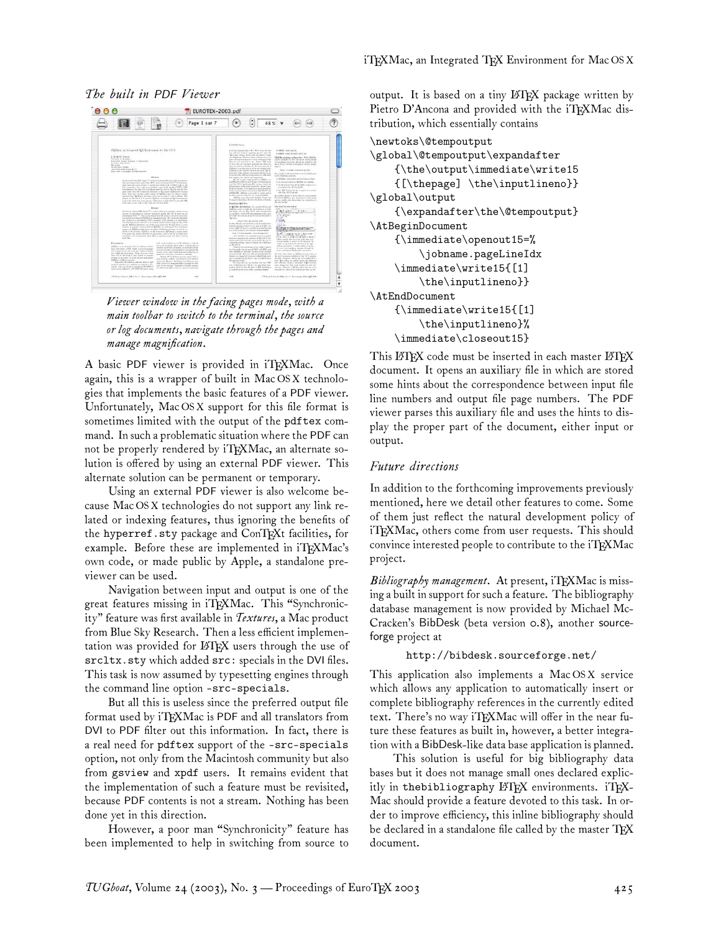### *The built in* PDF *Viewer*



*Viewer window in the facing pages mode, with a main toolbar to switch to the terminal, the source or log documents, navigate through the pages and manage magnification.*

A basic PDF viewer is provided in iTFXMac. Once again, this is a wrapper of built in Mac OS X technologies that implements the basic features of a PDF viewer. Unfortunately, Mac OS X support for this file format is sometimes limited with the output of the pdftex command. In such a problematic situation where the PDF can not be properly rendered by iT<sub>E</sub>XMac, an alternate solution is offered by using an external PDF viewer. This alternate solution can be permanent or temporary.

Using an external PDF viewer is also welcome because Mac OS X technologies do not support any link related or indexing features, thus ignoring the benefits of the hyperref.sty package and ConTEXt facilities, for example. Before these are implemented in iTEXMac's own code, or made public by Apple, a standalone previewer can be used.

Navigation between input and output is one of the great features missing in iTFXMac. This "Synchronicity" feature was first available in *Textures*, a Mac product from Blue Sky Research. Then a less efficient implementation was provided for LATEX users through the use of srcltx.sty which added src: specials in the DVI files. This task is now assumed by typesetting engines through the command line option -src-specials.

But all this is useless since the preferred output file format used by iTFXMac is PDF and all translators from DVI to PDF filter out this information. In fact, there is a real need for pdftex support of the -src-specials option, not only from the Macintosh community but also from gsview and xpdf users. It remains evident that the implementation of such a feature must be revisited, because PDF contents is not a stream. Nothing has been done yet in this direction.

However, a poor man "Synchronicity" feature has been implemented to help in switching from source to

output. It is based on a tiny LATEX package written by Pietro D'Ancona and provided with the iTEXMac distribution, which essentially contains

```
\newtoks\@tempoutput
\global\@tempoutput\expandafter
    {\the\output\immediate\write15
    {[\thepage] \the\inputlineno}}
\global\output
    {\expandafter\the\@tempoutput}
\AtBeginDocument
    {\immediate\openout15=%
        \jobname.pageLineIdx
    \immediate\write15{[1]
        \the\inputlineno}}
\AtEndDocument
    {\immediate\write15{[1]
        \the\inputlineno}%
    \immediate\closeout15}
```
This LATEX code must be inserted in each master LATEX document. It opens an auxiliary file in which are stored some hints about the correspondence between input file line numbers and output file page numbers. The PDF viewer parses this auxiliary file and uses the hints to display the proper part of the document, either input or output.

### *Future directions*

In addition to the forthcoming improvements previously mentioned, here we detail other features to come. Some of them just reflect the natural development policy of iTEXMac, others come from user requests. This should convince interested people to contribute to the iTFXMac project.

Bibliography management. At present, iTEXMac is missing a built in support for such a feature. The bibliography database management is now provided by Michael Mc-Cracken's BibDesk (beta version 0.8), another sourceforge project at

#### http://bibdesk.sourceforge.net/

This application also implements a Mac OS X service which allows any application to automatically insert or complete bibliography references in the currently edited text. There's no way iTFXMac will offer in the near future these features as built in, however, a better integration with a BibDesk-like data base application is planned.

This solution is useful for big bibliography data bases but it does not manage small ones declared explicitly in thebibliography  $\operatorname{\mathbb{H}F\!X}$  environments. iT $\operatorname{F\!X\!}$ -Mac should provide a feature devoted to this task. In order to improve efficiency, this inline bibliography should be declared in a standalone file called by the master  ${\rm T_F}\!{\rm X}$ document.